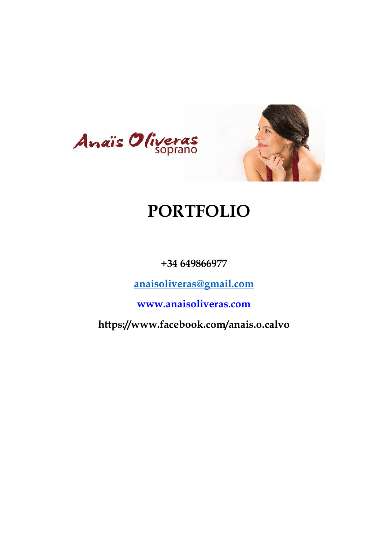



# **PORTFOLIO**

**+34 649866977**

**[anaisoliveras@gmail.com](mailto:anaisoliveras@gmail.com)**

**www.anaisoliveras.com**

**https://www.facebook.com/anais.o.calvo**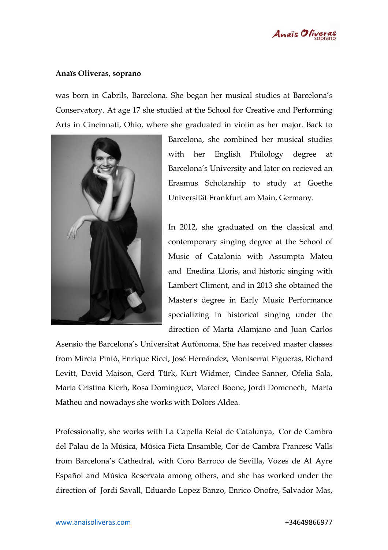

#### **Anaïs Oliveras, soprano**

was born in Cabrils, Barcelona. She began her musical studies at Barcelona's Conservatory. At age 17 she studied at the School for Creative and Performing Arts in Cincinnati, Ohio, where she graduated in violin as her major. Back to



Barcelona, she combined her musical studies with her English Philology degree at Barcelona's University and later on recieved an Erasmus Scholarship to study at Goethe Universität Frankfurt am Main, Germany.

In 2012, she graduated on the classical and contemporary singing degree at the School of Music of Catalonia with Assumpta Mateu and Enedina Lloris, and historic singing with Lambert Climent, and in 2013 she obtained the Master's degree in Early Music Performance specializing in historical singing under the direction of Marta Alamjano and Juan Carlos

Asensio the Barcelona's Universitat Autònoma. She has received master classes from Mireia Pintó, Enrique Ricci, José Hernández, Montserrat Figueras, Richard Levitt, David Maison, Gerd Türk, Kurt Widmer, Cindee Sanner, Ofelia Sala, Maria Cristina Kierh, Rosa Dominguez, Marcel Boone, Jordi Domenech, Marta Matheu and nowadays she works with Dolors Aldea.

Professionally, she works with La Capella Reial de Catalunya, Cor de Cambra del Palau de la Música, Música Ficta Ensamble, Cor de Cambra Francesc Valls from Barcelona's Cathedral, with Coro Barroco de Sevilla, Vozes de Al Ayre Español and Música Reservata among others, and she has worked under the direction of Jordi Savall, Eduardo Lopez Banzo, Enrico Onofre, Salvador Mas,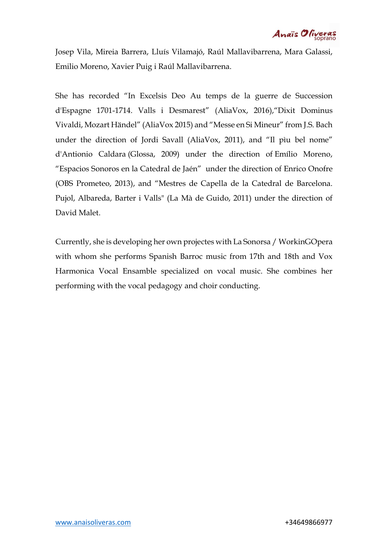Anaïs Oliveras

Josep Vila, Mireia Barrera, Lluís Vilamajó, Raúl Mallavibarrena, Mara Galassi, Emilio Moreno, Xavier Puig i Raúl Mallavibarrena.

She has recorded "In Excelsis Deo Au temps de la guerre de Succession d'Espagne 1701-1714. Valls i Desmarest" (AliaVox, 2016),"Dixit Dominus Vivaldi, Mozart Händel" (AliaVox 2015) and "Messe en Si Mineur" from J.S. Bach under the direction of Jordi Savall (AliaVox, 2011), and "Il pìu bel nome" d'Antionio Caldara (Glossa, 2009) under the direction of Emílio Moreno, "Espacios Sonoros en la Catedral de Jaén" under the direction of Enrico Onofre (OBS Prometeo, 2013), and "Mestres de Capella de la Catedral de Barcelona. Pujol, Albareda, Barter i Valls" (La Mà de Guido, 2011) under the direction of David Malet.

Currently, she is developing her own projectes with La Sonorsa / WorkinGOpera with whom she performs Spanish Barroc music from 17th and 18th and Vox Harmonica Vocal Ensamble specialized on vocal music. She combines her performing with the vocal pedagogy and choir conducting.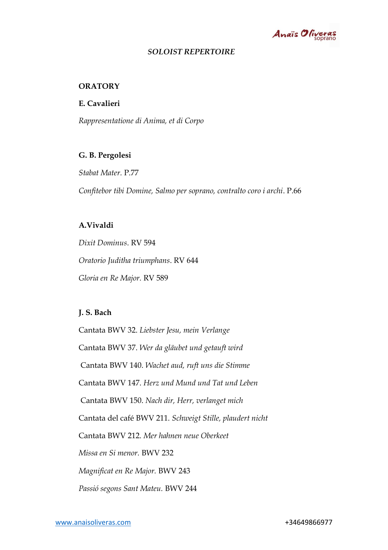

#### *SOLOIST REPERTOIRE*

#### **ORATORY**

**E. Cavalieri** 

*Rappresentatione di Anima, et di Corpo* 

#### **G. B. Pergolesi**

*Stabat Mater.* P.77 *Confitebor tibi Domine, Salmo per soprano, contralto coro i archi*. P.66

### **A.Vivaldi**

*Dixit Dominus*. RV 594 *Oratorio Juditha triumphans*. RV 644 *Gloria en Re Major.* RV 589

#### **J. S. Bach**

Cantata BWV 32. *Liebster Jesu, mein Verlange* Cantata BWV 37. *Wer da gläubet und getauft wird* Cantata BWV 140. *Wachet aud, ruft uns die Stimme*  Cantata BWV 147. *Herz und Mund und Tat und Leben* Cantata BWV 150. *Nach dir, Herr, verlanget mich*  Cantata del café BWV 211. *Schweigt Stille, plaudert nicht*  Cantata BWV 212. *Mer hahnen neue Oberkeet Missa en Si menor.* BWV 232 *Magnificat en Re Major.* BWV 243 *Passió segons Sant Mateu.* BWV 244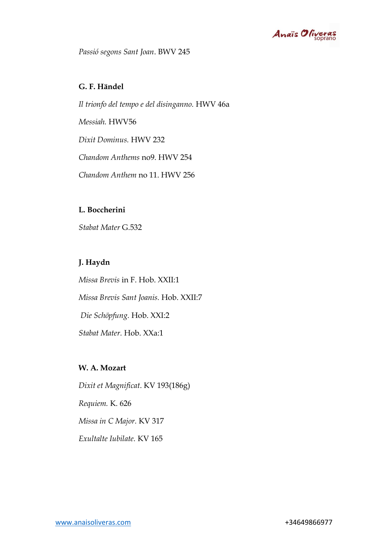

*Passió segons Sant Joan*. BWV 245

#### **G. F. Händel**

*Il trionfo del tempo e del disinganno.* HWV 46a *Messiah.* HWV56 *Dixit Dominus.* HWV 232 *Chandom Anthems* no9. HWV 254 *Chandom Anthem* no 11. HWV 256

#### **L. Boccherini**

*Stabat Mater* G.532

### **J. Haydn**

*Missa Brevis* in F. Hob. XXII:1 *Missa Brevis Sant Joanis.* Hob. XXII:7 *Die Schöpfung.* Hob. XXI:2 *Stabat Mater.* Hob. XXa:1

## **W. A. Mozart**

*Dixit et Magnificat*. KV 193(186g) *Requiem.* K. 626 *Missa in C Major.* KV 317 *Exultalte Iubilate.* KV 165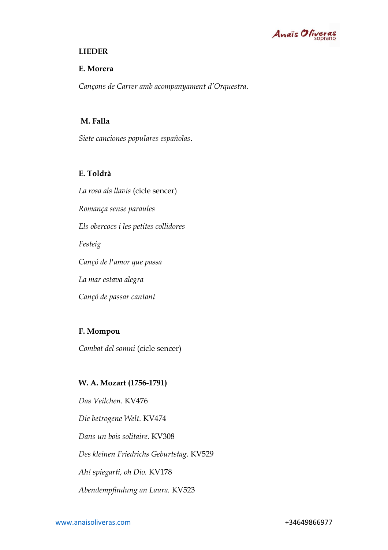

#### **LIEDER**

#### **E. Morera**

*Cançons de Carrer amb acompanyament d'Orquestra*.

#### **M. Falla**

*Siete canciones populares españolas*.

#### **E. Toldrà**

*La rosa als llavis* (cicle sencer) *Romança sense paraules Els obercocs i les petites collidores Festeig Cançó de l'amor que passa La mar estava alegra Cançó de passar cantant* 

#### **F. Mompou**

*Combat del somni* (cicle sencer)

#### **W. A. Mozart (1756-1791)**

*Das Veilchen.* KV476 *Die betrogene Welt.* KV474 *Dans un bois solitaire.* KV308 *Des kleinen Friedrichs Geburtstag.* KV529 *Ah! spiegarti, oh Dio.* KV178 *Abendempfindung an Laura.* KV523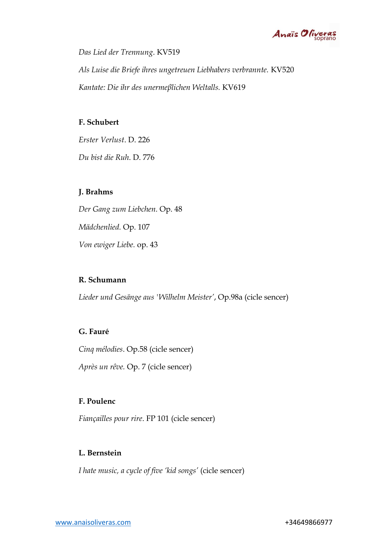

*Das Lied der Trennung*. KV519 *Als Luise die Briefe ihres ungetreuen Liebhabers verbrannte.* KV520 *Kantate: Die ihr des unermeβlichen Weltalls.* KV619

#### **F. Schubert**

*Erster Verlust*. D. 226

*Du bist die Ruh*. D. 776

#### **J. Brahms**

*Der Gang zum Liebchen.* Op. 48 *Mädchenlied.* Op. 107 *Von ewiger Liebe.* op. 43

#### **R. Schumann**

*Lieder und Gesänge aus 'Wilhelm Meister'*, Op.98a (cicle sencer)

#### **G. Fauré**

*Cinq mélodies*. Op.58 (cicle sencer)

*Après un rêve.* Op. 7 (cicle sencer)

## **F. Poulenc**

*Fiançailles pour rire*. FP 101 (cicle sencer)

#### **L. Bernstein**

*I hate music, a cycle of five 'kid songs'* (cicle sencer)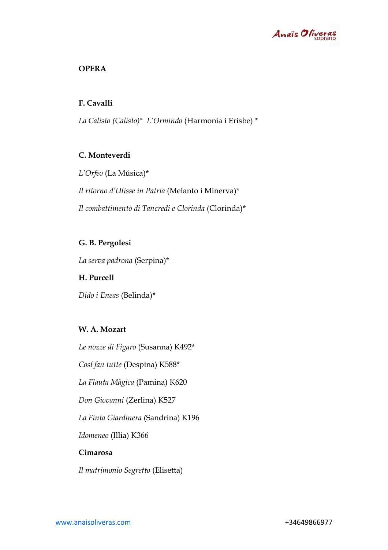

## **OPERA**

## **F. Cavalli**

*La Calisto (Calisto)\* L'Ormindo* (Harmonia i Erisbe) \*

## **C. Monteverdi**

*L'Orfeo* (La Música)\* *Il ritorno d'Ulisse in Patria* (Melanto i Minerva)\* *Il combattimento di Tancredi e Clorinda* (Clorinda)\*

## **G. B. Pergolesi**

*La serva padrona* (Serpina)\*

## **H. Purcell**

*Dido i Eneas* (Belinda)\*

## **W. A. Mozart**

*Le nozze di Figaro* (Susanna) K492\* *Cosí fan tutte* (Despina) K588\* *La Flauta Màgica* (Pamina) K620 *Don Giovanni* (Zerlina) K527 *La Finta Giardinera* (Sandrina) K196 *Idomeneo* (Illia) K366 **Cimarosa**  *Il matrimonio Segretto* (Elisetta)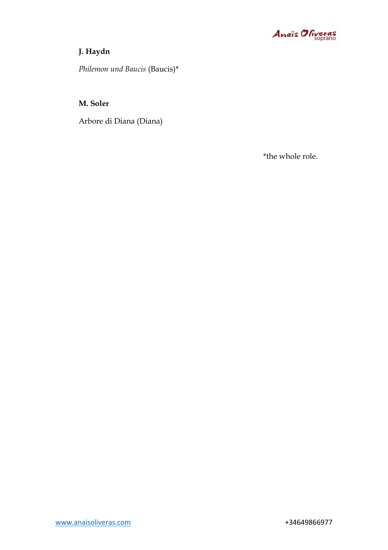

## **J. Haydn**

*Philemon und Baucis* (Baucis)\*

#### **M. Soler**

Arbore di Diana (Diana)

\*the whole role.